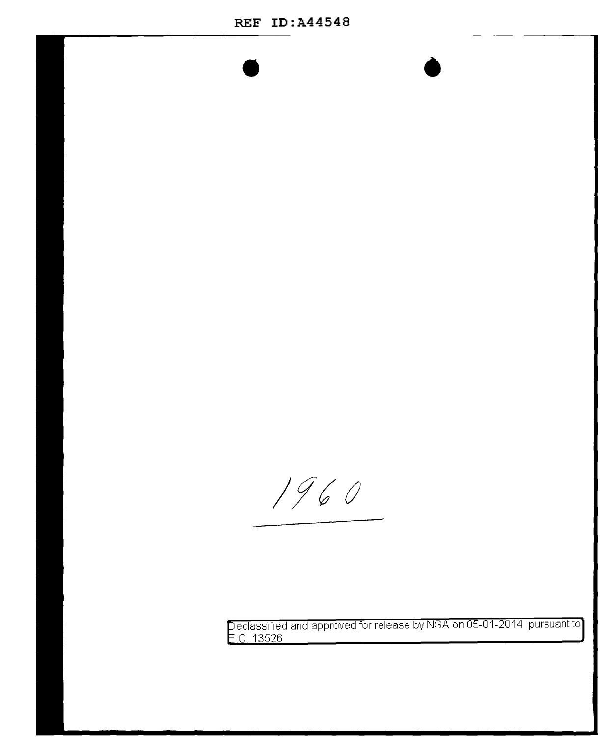1960

eclassified and approved for release by NSA on 05-01-2014 pursuant to .0. 13526

•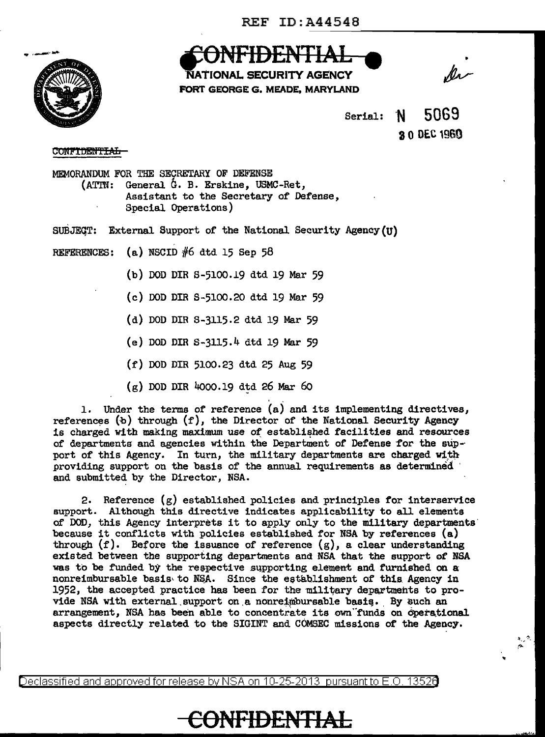

CUNTIDENTIAL

'NATIONAL SECURITY AGENCY FORT GEORGE G. MEADE, MARYLAND

•

 $Serial: N 5069$ 8.0 DEC 1960

### CONFIDENTIAL

MEMORANDUM FOR THE SECRETARY OF DEFENSE (ATTN: General G. B. Erskine, USMC-Ret, Assistant to the Secretary of Defense, Special Operations)

SUBJEQT: External Support of the National Security Agency(U)

REFERENCES: (a) NSCID  $#6$  dtd 15 Sep 58

- (b) DOD DIR s-5100.19 dtd 19 Mar 59
- (c) DOD DIR S-5100.20 dtd 19 Mar 59
- (d) DOD DIR s-3115.2 dtd 19 Mar 59
- (e) DOD DIR S-3115.4 dtd 19 Mar 59
- (f) DOD DIR 5100.23 dtd 25 Aug 59
- $(g)$  DOD DIR 4000.19 dtd 26 Mar 60

1. Under the terms of reference (a) and its implementing directives, references  $(b)$  through  $(f)$ , the Director of the National Security Agency is charged with making maximum use of established facilities and resources of departments and agencies within the Department of Defense for the sup-· port of this Agency. In turn, the military departments are charged with providing support on the basis of the annual requirements as determined and submitted by the Director, NSA.

2. Reference  $(g)$  established policies and principles for interservice support. Although this directive indicates applicability to all elements of DOD, this Agency interprets it to apply only to the military departments· because it conflicts with policies established for NSA by references (a) through  $(f)$ . Before the issuance of reference  $(g)$ , a clear understanding existed between the supporting departments and NSA that the support *ot* NSA was to be funded by the respective supporting element and furnished on a nonreimbursable basis to NSA. Since the establishment of this Agency in 1952, the accepted practice has been for the military departments to provide NSA with external support on a nonreimbursable basis. By such an arrangement, NSA has been able to concentrate its own funds on operational aspects directly related to the SIGINT and COMSEC missions of the Agency.

Declassified and approved for release by NSA on 10-25-2013 pursuantto E .0. 1352a

## CONFIDENTIAL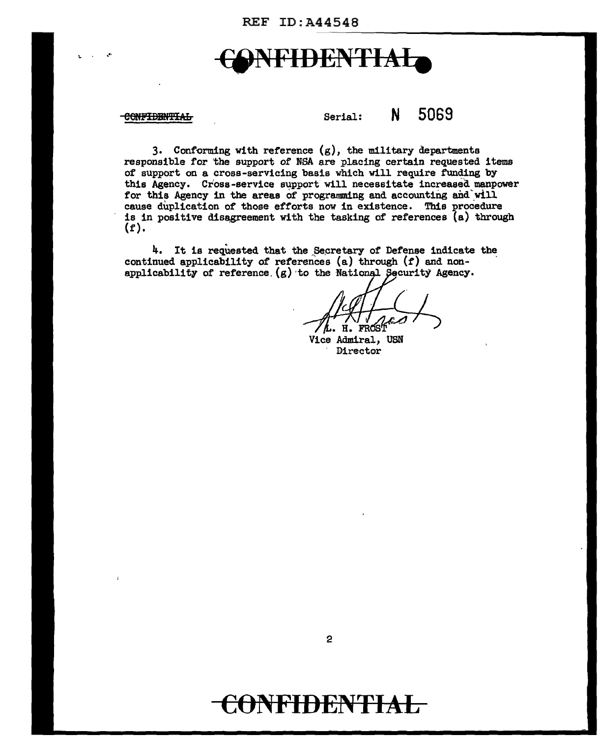**REF ID: A44548** 

# **DENTIAL**

#### CONFIDENTIAL

5069 N Serial:

3. Conforming with reference  $(g)$ , the military departments responsible for the support of NSA are placing certain requested items of support on a cross-servicing basis which will require funding by this Agency. Cross-service support will necessitate increased manpower for this Agency in the areas of programming and accounting and will cause duplication of those efforts now in existence. This procedure is in positive disagreement with the tasking of references (a) through  $(f).$ 

4. It is requested that the Secretary of Defense indicate the continued applicability of references (a) through (f) and nonapplicability of reference,  $(g)$  to the National Security Agency.

FROST н.

Vice Admiral, USN Director

 $\mathbf{2}$ 

## **NFIDENTIAL**